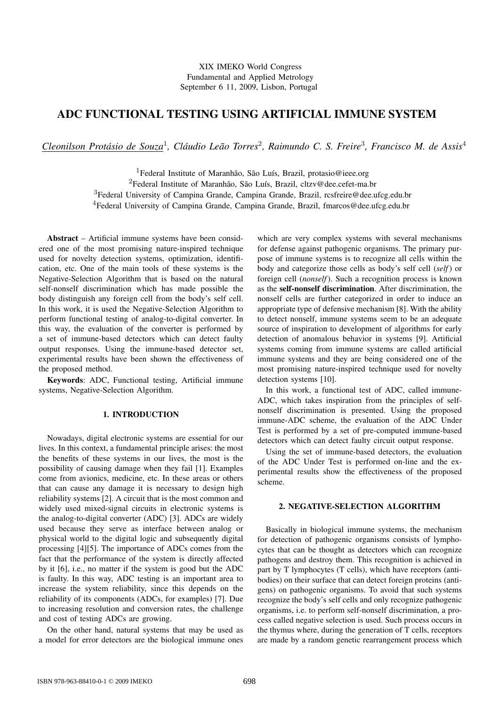# ADC FUNCTIONAL TESTING USING ARTIFICIAL IMMUNE SYSTEM

*Cleonilson Protasio de Souza ´* 1 *, Claudio Le ´ ao Torres ˜* 2 *, Raimundo C. S. Freire*<sup>3</sup> *, Francisco M. de Assis*<sup>4</sup>

<sup>1</sup>Federal Institute of Maranhão, São Luís, Brazil, protasio@ieee.org <sup>2</sup>Federal Institute of Maranhão, São Luís, Brazil, cltzv@dee.cefet-ma.br <sup>3</sup>Federal University of Campina Grande, Campina Grande, Brazil, rcsfreire@dee.ufcg.edu.br <sup>4</sup>Federal University of Campina Grande, Campina Grande, Brazil, fmarcos@dee.ufcg.edu.br

Abstract – Artificial immune systems have been considered one of the most promising nature-inspired technique used for novelty detection systems, optimization, identification, etc. One of the main tools of these systems is the Negative-Selection Algorithm that is based on the natural self-nonself discrimination which has made possible the body distinguish any foreign cell from the body's self cell. In this work, it is used the Negative-Selection Algorithm to perform functional testing of analog-to-digital converter. In this way, the evaluation of the converter is performed by a set of immune-based detectors which can detect faulty output responses. Using the immune-based detector set, experimental results have been shown the effectiveness of the proposed method.

Keywords: ADC, Functional testing, Artificial immune systems, Negative-Selection Algorithm.

#### 1. INTRODUCTION

Nowadays, digital electronic systems are essential for our lives. In this context, a fundamental principle arises: the most the benefits of these systems in our lives, the most is the possibility of causing damage when they fail [1]. Examples come from avionics, medicine, etc. In these areas or others that can cause any damage it is necessary to design high reliability systems [2]. A circuit that is the most common and widely used mixed-signal circuits in electronic systems is the analog-to-digital converter (ADC) [3]. ADCs are widely used because they serve as interface between analog or physical world to the digital logic and subsequently digital processing [4][5]. The importance of ADCs comes from the fact that the performance of the system is directly affected by it [6], i.e., no matter if the system is good but the ADC is faulty. In this way, ADC testing is an important area to increase the system reliability, since this depends on the reliability of its components (ADCs, for examples) [7]. Due to increasing resolution and conversion rates, the challenge and cost of testing ADCs are growing.

On the other hand, natural systems that may be used as a model for error detectors are the biological immune ones which are very complex systems with several mechanisms for defense against pathogenic organisms. The primary purpose of immune systems is to recognize all cells within the body and categorize those cells as body's self cell (*self*) or foreign cell (*nonself*). Such a recognition process is known as the self-nonself discrimination. After discrimination, the nonself cells are further categorized in order to induce an appropriate type of defensive mechanism [8]. With the ability to detect nonself, immune systems seem to be an adequate source of inspiration to development of algorithms for early detection of anomalous behavior in systems [9]. Artificial systems coming from immune systems are called artificial immune systems and they are being considered one of the most promising nature-inspired technique used for novelty detection systems [10].

In this work, a functional test of ADC, called immune-ADC, which takes inspiration from the principles of selfnonself discrimination is presented. Using the proposed immune-ADC scheme, the evaluation of the ADC Under Test is performed by a set of pre-computed immune-based detectors which can detect faulty circuit output response.

Using the set of immune-based detectors, the evaluation of the ADC Under Test is performed on-line and the experimental results show the effectiveness of the proposed scheme.

# 2. NEGATIVE-SELECTION ALGORITHM

Basically in biological immune systems, the mechanism for detection of pathogenic organisms consists of lymphocytes that can be thought as detectors which can recognize pathogens and destroy them. This recognition is achieved in part by T lymphocytes (T cells), which have receptors (antibodies) on their surface that can detect foreign proteins (antigens) on pathogenic organisms. To avoid that such systems recognize the body's self cells and only recognize pathogenic organisms, i.e. to perform self-nonself discrimination, a process called negative selection is used. Such process occurs in the thymus where, during the generation of T cells, receptors are made by a random genetic rearrangement process which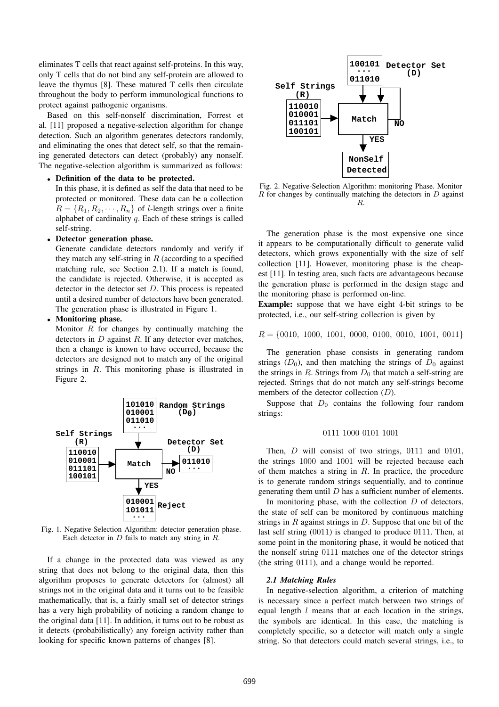eliminates T cells that react against self-proteins. In this way, only T cells that do not bind any self-protein are allowed to leave the thymus [8]. These matured T cells then circulate throughout the body to perform immunological functions to protect against pathogenic organisms.

Based on this self-nonself discrimination, Forrest et al. [11] proposed a negative-selection algorithm for change detection. Such an algorithm generates detectors randomly, and eliminating the ones that detect self, so that the remaining generated detectors can detect (probably) any nonself. The negative-selection algorithm is summarized as follows:

#### • Definition of the data to be protected.

In this phase, it is defined as self the data that need to be protected or monitored. These data can be a collection  $R = \{R_1, R_2, \cdots, R_n\}$  of *l*-length strings over a finite alphabet of cardinality  $q$ . Each of these strings is called self-string.

## • Detector generation phase.

Generate candidate detectors randomly and verify if they match any self-string in  $R$  (according to a specified matching rule, see Section 2.1). If a match is found, the candidate is rejected. Otherwise, it is accepted as detector in the detector set  $D$ . This process is repeated until a desired number of detectors have been generated. The generation phase is illustrated in Figure 1.

## • Monitoring phase.

Monitor  $R$  for changes by continually matching the detectors in  $D$  against  $R$ . If any detector ever matches, then a change is known to have occurred, because the detectors are designed not to match any of the original strings in R. This monitoring phase is illustrated in Figure 2.



Fig. 1. Negative-Selection Algorithm: detector generation phase. Each detector in  $D$  fails to match any string in  $R$ .

If a change in the protected data was viewed as any string that does not belong to the original data, then this algorithm proposes to generate detectors for (almost) all strings not in the original data and it turns out to be feasible mathematically, that is, a fairly small set of detector strings has a very high probability of noticing a random change to the original data [11]. In addition, it turns out to be robust as it detects (probabilistically) any foreign activity rather than looking for specific known patterns of changes [8].



Fig. 2. Negative-Selection Algorithm: monitoring Phase. Monitor  $R$  for changes by continually matching the detectors in  $D$  against R.

The generation phase is the most expensive one since it appears to be computationally difficult to generate valid detectors, which grows exponentially with the size of self collection [11]. However, monitoring phase is the cheapest [11]. In testing area, such facts are advantageous because the generation phase is performed in the design stage and the monitoring phase is performed on-line.

Example: suppose that we have eight 4-bit strings to be protected, i.e., our self-string collection is given by

$$
R = \{0010, 1000, 1001, 0000, 0100, 0010, 1001, 0011\}
$$

The generation phase consists in generating random strings  $(D_0)$ , and then matching the strings of  $D_0$  against the strings in R. Strings from  $D_0$  that match a self-string are rejected. Strings that do not match any self-strings become members of the detector collection  $(D)$ .

Suppose that  $D_0$  contains the following four random strings:

#### 0111 1000 0101 1001

Then, *D* will consist of two strings, 0111 and 0101, the strings 1000 and 1001 will be rejected because each of them matches a string in  $R$ . In practice, the procedure is to generate random strings sequentially, and to continue generating them until  $D$  has a sufficient number of elements.

In monitoring phase, with the collection  $D$  of detectors, the state of self can be monitored by continuous matching strings in  $R$  against strings in  $D$ . Suppose that one bit of the last self string (0011) is changed to produce 0111. Then, at some point in the monitoring phase, it would be noticed that the nonself string 0111 matches one of the detector strings (the string 0111), and a change would be reported.

#### *2.1 Matching Rules*

In negative-selection algorithm, a criterion of matching is necessary since a perfect match between two strings of equal length  $l$  means that at each location in the strings, the symbols are identical. In this case, the matching is completely specific, so a detector will match only a single string. So that detectors could match several strings, i.e., to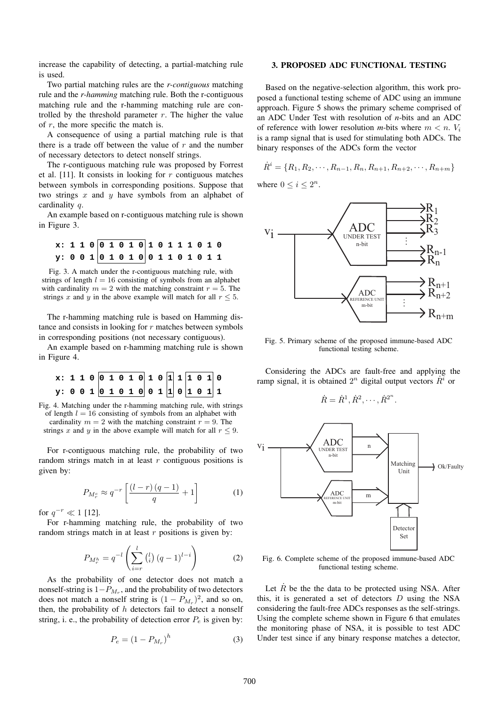increase the capability of detecting, a partial-matching rule is used.

Two partial matching rules are the *r-contiguous* matching rule and the *r-hamming* matching rule. Both the r-contiguous matching rule and the r-hamming matching rule are controlled by the threshold parameter  $r$ . The higher the value of  $r$ , the more specific the match is.

A consequence of using a partial matching rule is that there is a trade off between the value of  $r$  and the number of necessary detectors to detect nonself strings.

The r-contiguous matching rule was proposed by Forrest et al. [11]. It consists in looking for  $r$  contiguous matches between symbols in corresponding positions. Suppose that two strings  $x$  and  $y$  have symbols from an alphabet of cardinality q.

An example based on r-contiguous matching rule is shown in Figure 3.

**x: 1 1 0 0 1 0 1 0 1 0 1 1 1 0 1 0 y: 0 0 1 0 1 0 1 0 0 1 1 0 1 0 1 1** 

Fig. 3. A match under the r-contiguous matching rule, with strings of length  $l = 16$  consisting of symbols from an alphabet with cardinality  $m = 2$  with the matching constraint  $r = 5$ . The strings x and y in the above example will match for all  $r \leq 5$ .

The r-hamming matching rule is based on Hamming distance and consists in looking for r matches between symbols in corresponding positions (not necessary contiguous).

An example based on r-hamming matching rule is shown in Figure 4.



Fig. 4. Matching under the r-hamming matching rule, with strings of length  $l = 16$  consisting of symbols from an alphabet with cardinality  $m = 2$  with the matching constraint  $r = 9$ . The strings x and y in the above example will match for all  $r \leq 9$ .

For r-contiguous matching rule, the probability of two random strings match in at least  $r$  contiguous positions is given by:

$$
P_{M_r^c} \approx q^{-r} \left[ \frac{\left(l-r\right)\left(q-1\right)}{q} + 1 \right] \tag{1}
$$

for  $q^{-r} \ll 1$  [12].

For r-hamming matching rule, the probability of two random strings match in at least  $r$  positions is given by:

$$
P_{M_r^h} = q^{-l} \left( \sum_{i=r}^l {l \choose i} (q-1)^{l-i} \right) \tag{2}
$$

As the probability of one detector does not match a nonself-string is  $1-P_{M_r}$ , and the probability of two detectors does not match a nonself string is  $(1 - P_{M_r})^2$ , and so on, then, the probability of  $h$  detectors fail to detect a nonself string, i. e., the probability of detection error  $P_e$  is given by:

$$
P_e = \left(1 - P_{M_r}\right)^h\tag{3}
$$

#### 3. PROPOSED ADC FUNCTIONAL TESTING

Based on the negative-selection algorithm, this work proposed a functional testing scheme of ADC using an immune approach. Figure 5 shows the primary scheme comprised of an ADC Under Test with resolution of *n*-bits and an ADC of reference with lower resolution *m*-bits where  $m < n$ .  $V_i$ is a ramp signal that is used for stimulating both ADCs. The binary responses of the ADCs form the vector

$$
\dot{R}^i = \{R_1, R_2, \cdots, R_{n-1}, R_n, R_{n+1}, R_{n+2}, \cdots, R_{n+m}\}\
$$

where  $0 \leq i \leq 2^n$ .



Fig. 5. Primary scheme of the proposed immune-based ADC functional testing scheme.

Considering the ADCs are fault-free and applying the ramp signal, it is obtained  $2^n$  digital output vectors  $\hat{R}^i$  or

$$
\dot{R} = \dot{R}^1, \dot{R}^2, \cdots, \dot{R}^{2^n}.
$$



Fig. 6. Complete scheme of the proposed immune-based ADC functional testing scheme.

Let  $R$  be the the data to be protected using NSA. After this, it is generated a set of detectors D using the NSA considering the fault-free ADCs responses as the self-strings. Using the complete scheme shown in Figure 6 that emulates the monitoring phase of NSA, it is possible to test ADC Under test since if any binary response matches a detector,